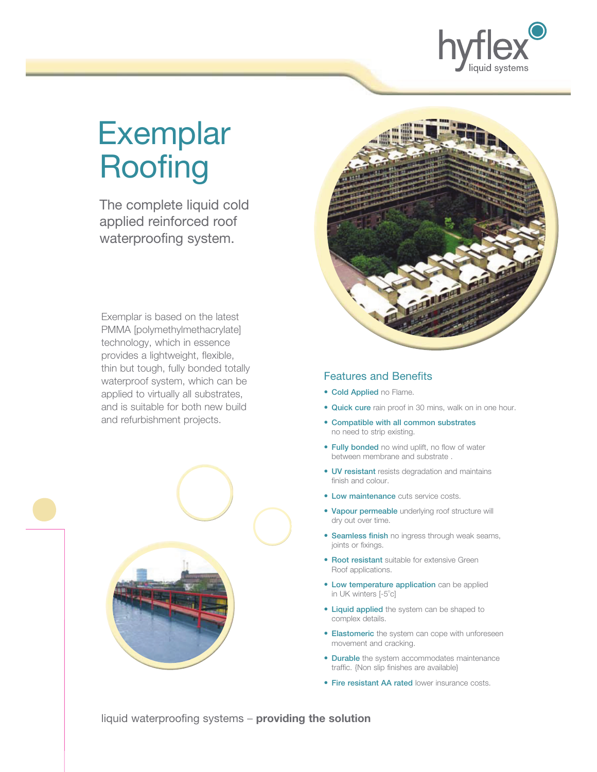

# **Exemplar Roofing**

 The complete liquid cold applied reinforced roof waterproofing system.

Exemplar is based on the latest PMMA [polymethylmethacrylate] technology, which in essence provides a lightweight, flexible, thin but tough, fully bonded totally waterproof system, which can be applied to virtually all substrates, and is suitable for both new build and refurbishment projects.





#### Features and Benefits

- Cold Applied no Flame.
- Quick cure rain proof in 30 mins, walk on in one hour.
- Compatible with all common substrates no need to strip existing.
- Fully bonded no wind uplift, no flow of water between membrane and substrate .
- UV resistant resists degradation and maintains finish and colour.
- Low maintenance cuts service costs.
- Vapour permeable underlying roof structure will dry out over time.
- Seamless finish no ingress through weak seams, joints or fixings.
- Root resistant suitable for extensive Green Roof applications.
- Low temperature application can be applied in UK winters [-5°c]
- Liquid applied the system can be shaped to complex details.
- Elastomeric the system can cope with unforeseen movement and cracking.
- Durable the system accommodates maintenance traffic. {Non slip finishes are available}
- Fire resistant AA rated lower insurance costs.

liquid waterproofing systems – **providing the solution**